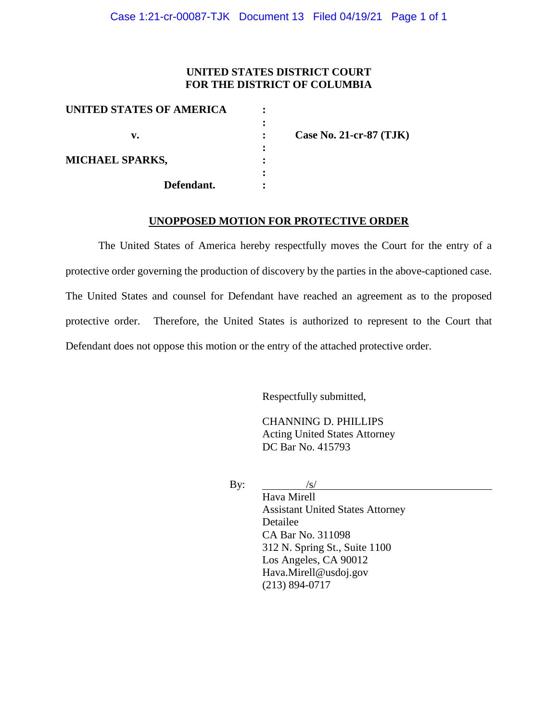### **UNITED STATES DISTRICT COURT FOR THE DISTRICT OF COLUMBIA**

| UNITED STATES OF AMERICA |                           |
|--------------------------|---------------------------|
|                          |                           |
| v.                       | Case No. 21-cr-87 $(TJK)$ |
|                          |                           |
| <b>MICHAEL SPARKS,</b>   |                           |
|                          |                           |
| Defendant.               |                           |

#### **UNOPPOSED MOTION FOR PROTECTIVE ORDER**

The United States of America hereby respectfully moves the Court for the entry of a protective order governing the production of discovery by the parties in the above-captioned case. The United States and counsel for Defendant have reached an agreement as to the proposed protective order. Therefore, the United States is authorized to represent to the Court that Defendant does not oppose this motion or the entry of the attached protective order.

Respectfully submitted,

CHANNING D. PHILLIPS Acting United States Attorney DC Bar No. 415793

By:  $\frac{|s|}{\sqrt{|s|}}$ 

Hava Mirell Assistant United States Attorney Detailee CA Bar No. 311098 312 N. Spring St., Suite 1100 Los Angeles, CA 90012 Hava.Mirell@usdoj.gov (213) 894-0717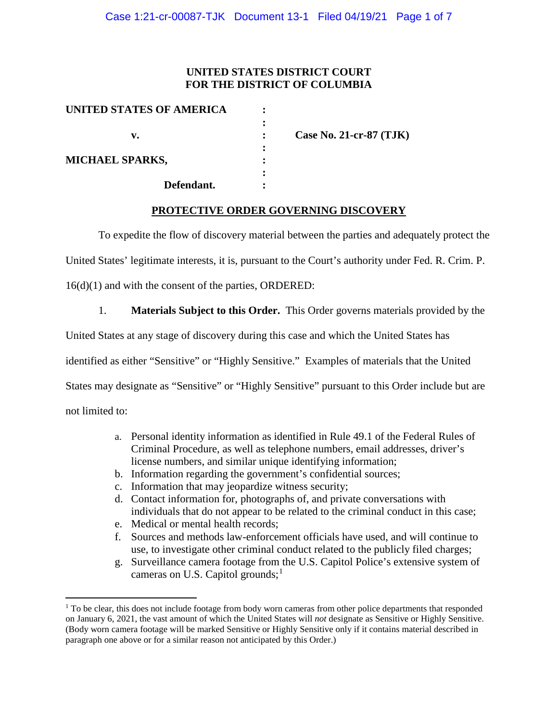## **UNITED STATES DISTRICT COURT FOR THE DISTRICT OF COLUMBIA**

| UNITED STATES OF AMERICA |                         |
|--------------------------|-------------------------|
|                          |                         |
| v.                       | Case No. 21-cr-87 (TJK) |
|                          |                         |
| <b>MICHAEL SPARKS,</b>   |                         |
|                          |                         |
| Defendant.               |                         |

## **PROTECTIVE ORDER GOVERNING DISCOVERY**

To expedite the flow of discovery material between the parties and adequately protect the

United States' legitimate interests, it is, pursuant to the Court's authority under Fed. R. Crim. P.

16(d)(1) and with the consent of the parties, ORDERED:

1. **Materials Subject to this Order.** This Order governs materials provided by the

United States at any stage of discovery during this case and which the United States has

identified as either "Sensitive" or "Highly Sensitive." Examples of materials that the United

States may designate as "Sensitive" or "Highly Sensitive" pursuant to this Order include but are

not limited to:

- a. Personal identity information as identified in Rule 49.1 of the Federal Rules of Criminal Procedure, as well as telephone numbers, email addresses, driver's license numbers, and similar unique identifying information;
- b. Information regarding the government's confidential sources;
- c. Information that may jeopardize witness security;
- d. Contact information for, photographs of, and private conversations with individuals that do not appear to be related to the criminal conduct in this case;
- e. Medical or mental health records;
- f. Sources and methods law-enforcement officials have used, and will continue to use, to investigate other criminal conduct related to the publicly filed charges;
- g. Surveillance camera footage from the U.S. Capitol Police's extensive system of cameras on U.S. Capitol grounds;<sup>1</sup>

<sup>&</sup>lt;sup>1</sup> To be clear, this does not include footage from body worn cameras from other police departments that responded on January 6, 2021, the vast amount of which the United States will *not* designate as Sensitive or Highly Sensitive. (Body worn camera footage will be marked Sensitive or Highly Sensitive only if it contains material described in paragraph one above or for a similar reason not anticipated by this Order.)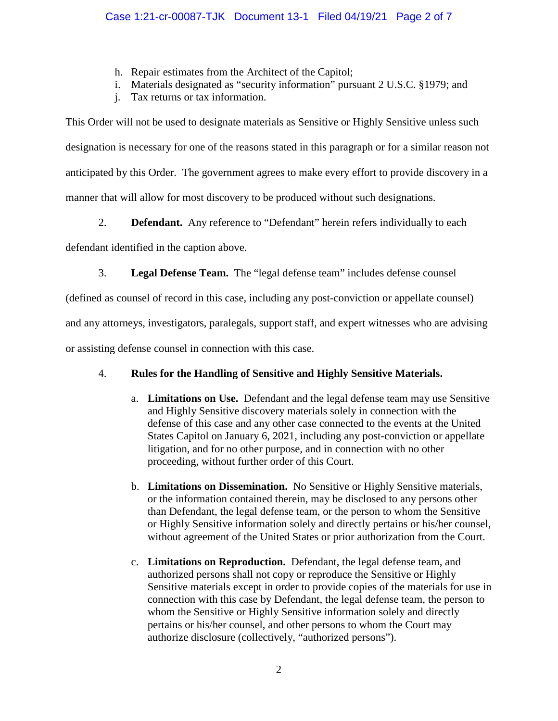- h. Repair estimates from the Architect of the Capitol;
- i. Materials designated as "security information" pursuant 2 U.S.C. §1979; and
- j. Tax returns or tax information.

This Order will not be used to designate materials as Sensitive or Highly Sensitive unless such designation is necessary for one of the reasons stated in this paragraph or for a similar reason not anticipated by this Order. The government agrees to make every effort to provide discovery in a manner that will allow for most discovery to be produced without such designations.

2. **Defendant.** Any reference to "Defendant" herein refers individually to each

defendant identified in the caption above.

3. **Legal Defense Team.** The "legal defense team" includes defense counsel

(defined as counsel of record in this case, including any post-conviction or appellate counsel)

and any attorneys, investigators, paralegals, support staff, and expert witnesses who are advising

or assisting defense counsel in connection with this case.

# 4. **Rules for the Handling of Sensitive and Highly Sensitive Materials.**

- a. **Limitations on Use.** Defendant and the legal defense team may use Sensitive and Highly Sensitive discovery materials solely in connection with the defense of this case and any other case connected to the events at the United States Capitol on January 6, 2021, including any post-conviction or appellate litigation, and for no other purpose, and in connection with no other proceeding, without further order of this Court.
- b. **Limitations on Dissemination.** No Sensitive or Highly Sensitive materials, or the information contained therein, may be disclosed to any persons other than Defendant, the legal defense team, or the person to whom the Sensitive or Highly Sensitive information solely and directly pertains or his/her counsel, without agreement of the United States or prior authorization from the Court.
- c. **Limitations on Reproduction.** Defendant, the legal defense team, and authorized persons shall not copy or reproduce the Sensitive or Highly Sensitive materials except in order to provide copies of the materials for use in connection with this case by Defendant, the legal defense team, the person to whom the Sensitive or Highly Sensitive information solely and directly pertains or his/her counsel, and other persons to whom the Court may authorize disclosure (collectively, "authorized persons").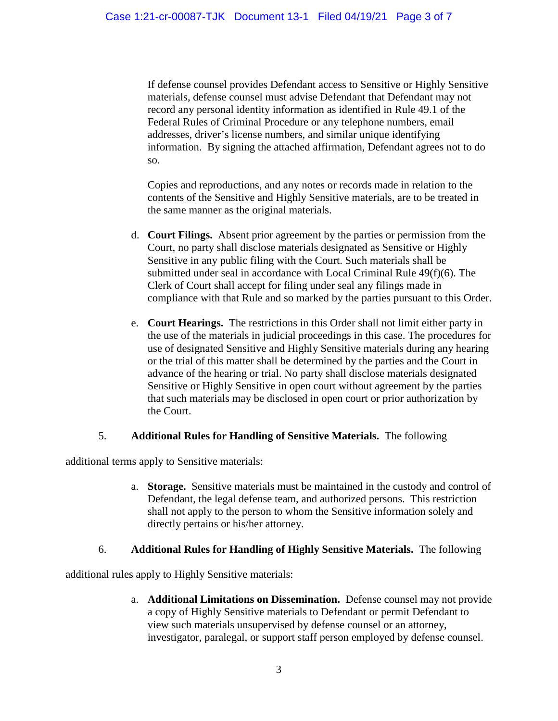If defense counsel provides Defendant access to Sensitive or Highly Sensitive materials, defense counsel must advise Defendant that Defendant may not record any personal identity information as identified in Rule 49.1 of the Federal Rules of Criminal Procedure or any telephone numbers, email addresses, driver's license numbers, and similar unique identifying information. By signing the attached affirmation, Defendant agrees not to do so.

Copies and reproductions, and any notes or records made in relation to the contents of the Sensitive and Highly Sensitive materials, are to be treated in the same manner as the original materials.

- d. **Court Filings.** Absent prior agreement by the parties or permission from the Court, no party shall disclose materials designated as Sensitive or Highly Sensitive in any public filing with the Court. Such materials shall be submitted under seal in accordance with Local Criminal Rule 49(f)(6). The Clerk of Court shall accept for filing under seal any filings made in compliance with that Rule and so marked by the parties pursuant to this Order.
- e. **Court Hearings.** The restrictions in this Order shall not limit either party in the use of the materials in judicial proceedings in this case. The procedures for use of designated Sensitive and Highly Sensitive materials during any hearing or the trial of this matter shall be determined by the parties and the Court in advance of the hearing or trial. No party shall disclose materials designated Sensitive or Highly Sensitive in open court without agreement by the parties that such materials may be disclosed in open court or prior authorization by the Court.

### 5. **Additional Rules for Handling of Sensitive Materials.** The following

additional terms apply to Sensitive materials:

a. **Storage.** Sensitive materials must be maintained in the custody and control of Defendant, the legal defense team, and authorized persons. This restriction shall not apply to the person to whom the Sensitive information solely and directly pertains or his/her attorney.

### 6. **Additional Rules for Handling of Highly Sensitive Materials.** The following

additional rules apply to Highly Sensitive materials:

a. **Additional Limitations on Dissemination.** Defense counsel may not provide a copy of Highly Sensitive materials to Defendant or permit Defendant to view such materials unsupervised by defense counsel or an attorney, investigator, paralegal, or support staff person employed by defense counsel.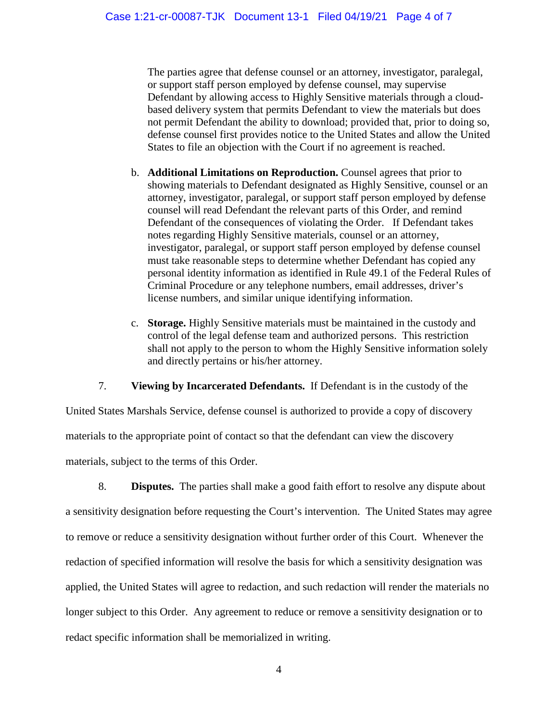The parties agree that defense counsel or an attorney, investigator, paralegal, or support staff person employed by defense counsel, may supervise Defendant by allowing access to Highly Sensitive materials through a cloudbased delivery system that permits Defendant to view the materials but does not permit Defendant the ability to download; provided that, prior to doing so, defense counsel first provides notice to the United States and allow the United States to file an objection with the Court if no agreement is reached.

- b. **Additional Limitations on Reproduction.** Counsel agrees that prior to showing materials to Defendant designated as Highly Sensitive, counsel or an attorney, investigator, paralegal, or support staff person employed by defense counsel will read Defendant the relevant parts of this Order, and remind Defendant of the consequences of violating the Order. If Defendant takes notes regarding Highly Sensitive materials, counsel or an attorney, investigator, paralegal, or support staff person employed by defense counsel must take reasonable steps to determine whether Defendant has copied any personal identity information as identified in Rule 49.1 of the Federal Rules of Criminal Procedure or any telephone numbers, email addresses, driver's license numbers, and similar unique identifying information.
- c. **Storage.** Highly Sensitive materials must be maintained in the custody and control of the legal defense team and authorized persons. This restriction shall not apply to the person to whom the Highly Sensitive information solely and directly pertains or his/her attorney.

7. **Viewing by Incarcerated Defendants.** If Defendant is in the custody of the

United States Marshals Service, defense counsel is authorized to provide a copy of discovery materials to the appropriate point of contact so that the defendant can view the discovery materials, subject to the terms of this Order.

8. **Disputes.** The parties shall make a good faith effort to resolve any dispute about a sensitivity designation before requesting the Court's intervention. The United States may agree to remove or reduce a sensitivity designation without further order of this Court. Whenever the redaction of specified information will resolve the basis for which a sensitivity designation was applied, the United States will agree to redaction, and such redaction will render the materials no longer subject to this Order. Any agreement to reduce or remove a sensitivity designation or to redact specific information shall be memorialized in writing.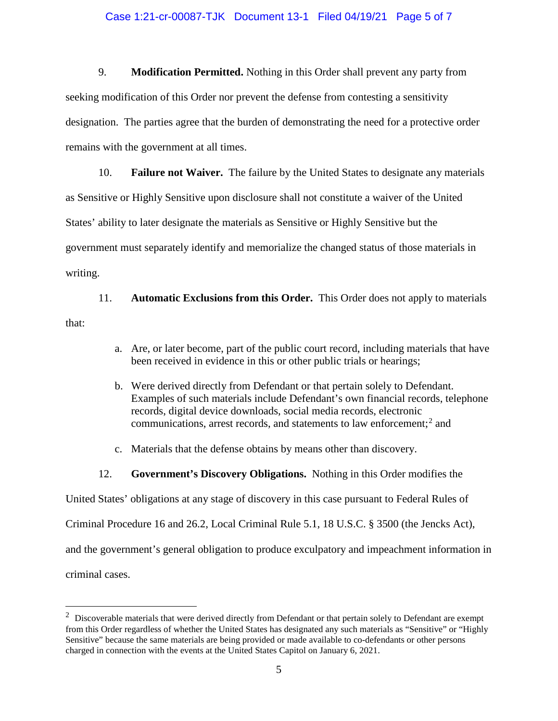#### Case 1:21-cr-00087-TJK Document 13-1 Filed 04/19/21 Page 5 of 7

9. **Modification Permitted.** Nothing in this Order shall prevent any party from seeking modification of this Order nor prevent the defense from contesting a sensitivity designation. The parties agree that the burden of demonstrating the need for a protective order remains with the government at all times.

10. **Failure not Waiver.** The failure by the United States to designate any materials as Sensitive or Highly Sensitive upon disclosure shall not constitute a waiver of the United States' ability to later designate the materials as Sensitive or Highly Sensitive but the government must separately identify and memorialize the changed status of those materials in writing.

11. **Automatic Exclusions from this Order.** This Order does not apply to materials that:

- a. Are, or later become, part of the public court record, including materials that have been received in evidence in this or other public trials or hearings;
- b. Were derived directly from Defendant or that pertain solely to Defendant. Examples of such materials include Defendant's own financial records, telephone records, digital device downloads, social media records, electronic communications, arrest records, and statements to law enforcement; <sup>2</sup> and
- c. Materials that the defense obtains by means other than discovery.
- 12. **Government's Discovery Obligations.** Nothing in this Order modifies the

United States' obligations at any stage of discovery in this case pursuant to Federal Rules of

Criminal Procedure 16 and 26.2, Local Criminal Rule 5.1, 18 U.S.C. § 3500 (the Jencks Act),

and the government's general obligation to produce exculpatory and impeachment information in

criminal cases.

 $\frac{1}{2}$  $2$  Discoverable materials that were derived directly from Defendant or that pertain solely to Defendant are exempt from this Order regardless of whether the United States has designated any such materials as "Sensitive" or "Highly Sensitive" because the same materials are being provided or made available to co-defendants or other persons charged in connection with the events at the United States Capitol on January 6, 2021.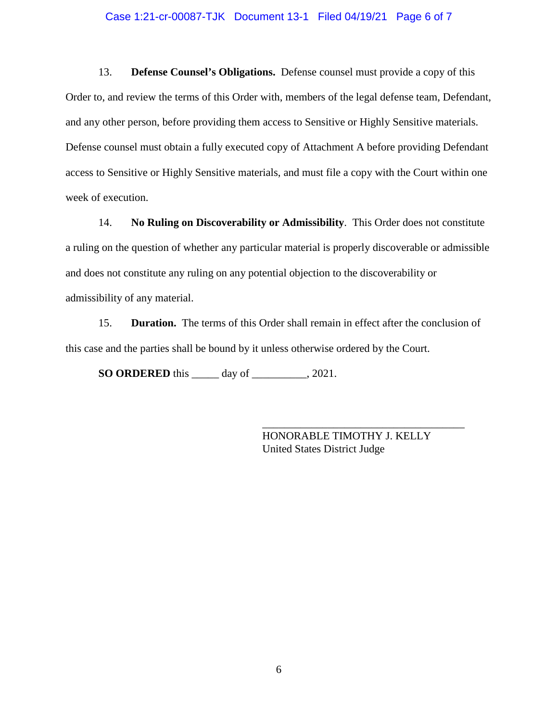#### Case 1:21-cr-00087-TJK Document 13-1 Filed 04/19/21 Page 6 of 7

13. **Defense Counsel's Obligations.** Defense counsel must provide a copy of this Order to, and review the terms of this Order with, members of the legal defense team, Defendant, and any other person, before providing them access to Sensitive or Highly Sensitive materials. Defense counsel must obtain a fully executed copy of Attachment A before providing Defendant access to Sensitive or Highly Sensitive materials, and must file a copy with the Court within one week of execution.

14. **No Ruling on Discoverability or Admissibility**. This Order does not constitute a ruling on the question of whether any particular material is properly discoverable or admissible and does not constitute any ruling on any potential objection to the discoverability or admissibility of any material.

15. **Duration.** The terms of this Order shall remain in effect after the conclusion of this case and the parties shall be bound by it unless otherwise ordered by the Court.

**SO ORDERED** this \_\_\_\_\_ day of \_\_\_\_\_\_\_\_\_\_, 2021.

HONORABLE TIMOTHY J. KELLY United States District Judge

\_\_\_\_\_\_\_\_\_\_\_\_\_\_\_\_\_\_\_\_\_\_\_\_\_\_\_\_\_\_\_\_\_\_\_\_\_